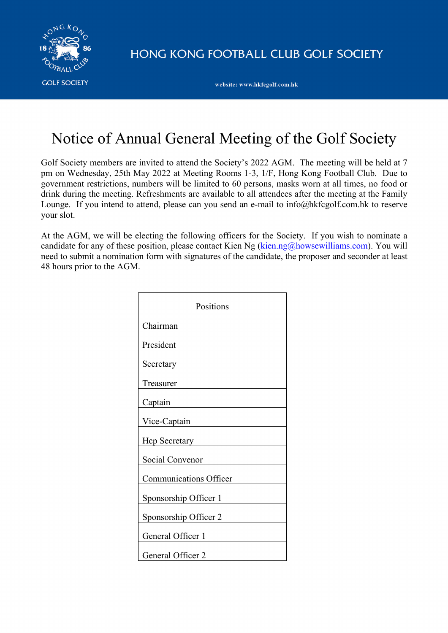

HONG KONG FOOTBALL CLUB GOLF SOCIETY

website: www.hkfcgolf.com.hk

# Notice of Annual General Meeting of the Golf Society

Golf Society members are invited to attend the Society's 2022 AGM. The meeting will be held at 7 pm on Wednesday, 25th May 2022 at Meeting Rooms 1-3, 1/F, Hong Kong Football Club. Due to government restrictions, numbers will be limited to 60 persons, masks worn at all times, no food or drink during the meeting. Refreshments are available to all attendees after the meeting at the Family Lounge. If you intend to attend, please can you send an e-mail to info@hkfcgolf.com.hk to reserve your slot.

At the AGM, we will be electing the following officers for the Society. If you wish to nominate a candidate for any of these position, please contact Kien Ng (kien.ng@howsewilliams.com). You will need to submit a nomination form with signatures of the candidate, the proposer and seconder at least 48 hours prior to the AGM.

| Positions                     |  |  |  |
|-------------------------------|--|--|--|
| Chairman                      |  |  |  |
| President                     |  |  |  |
|                               |  |  |  |
| Secretary                     |  |  |  |
| Treasurer                     |  |  |  |
| Captain                       |  |  |  |
| Vice-Captain                  |  |  |  |
| Hcp Secretary                 |  |  |  |
| Social Convenor               |  |  |  |
| <b>Communications Officer</b> |  |  |  |
| Sponsorship Officer 1         |  |  |  |
| Sponsorship Officer 2         |  |  |  |
| General Officer 1             |  |  |  |
| General Officer 2             |  |  |  |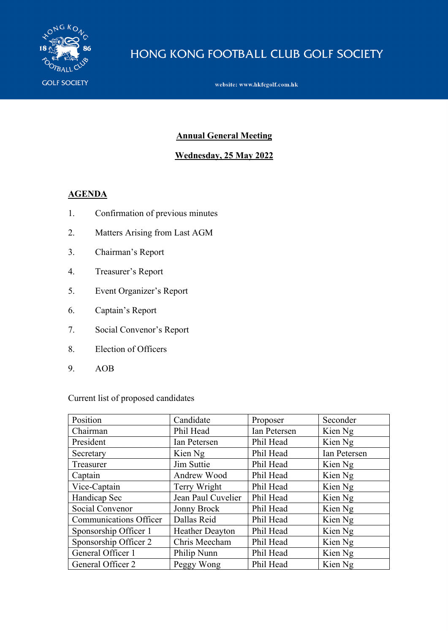

# HONG KONG FOOTBALL CLUB GOLF SOCIETY

website: www.hkfcgolf.com.hk

#### **Annual General Meeting**

# **Wednesday, 25 May 2022**

#### **AGENDA**

- 1. Confirmation of previous minutes
- 2. Matters Arising from Last AGM
- 3. Chairman's Report
- 4. Treasurer's Report
- 5. Event Organizer's Report
- 6. Captain's Report
- 7. Social Convenor's Report
- 8. Election of Officers
- 9. AOB

# Current list of proposed candidates

| Position                      | Candidate              | Proposer     | Seconder     |
|-------------------------------|------------------------|--------------|--------------|
| Chairman                      | Phil Head              | Ian Petersen | Kien Ng      |
| President                     | Ian Petersen           | Phil Head    | Kien Ng      |
| Secretary                     | Kien Ng                | Phil Head    | Ian Petersen |
| Treasurer                     | Jim Suttie             | Phil Head    | Kien Ng      |
| Captain                       | Andrew Wood            | Phil Head    | Kien Ng      |
| Vice-Captain                  | Terry Wright           | Phil Head    | Kien Ng      |
| Handicap Sec                  | Jean Paul Cuvelier     | Phil Head    | Kien Ng      |
| Social Convenor               | <b>Jonny Brock</b>     | Phil Head    | Kien Ng      |
| <b>Communications Officer</b> | Dallas Reid            | Phil Head    | Kien Ng      |
| Sponsorship Officer 1         | <b>Heather Deayton</b> | Phil Head    | Kien Ng      |
| Sponsorship Officer 2         | Chris Meecham          | Phil Head    | Kien Ng      |
| General Officer 1             | Philip Nunn            | Phil Head    | Kien Ng      |
| General Officer 2             | Peggy Wong             | Phil Head    | Kien Ng      |